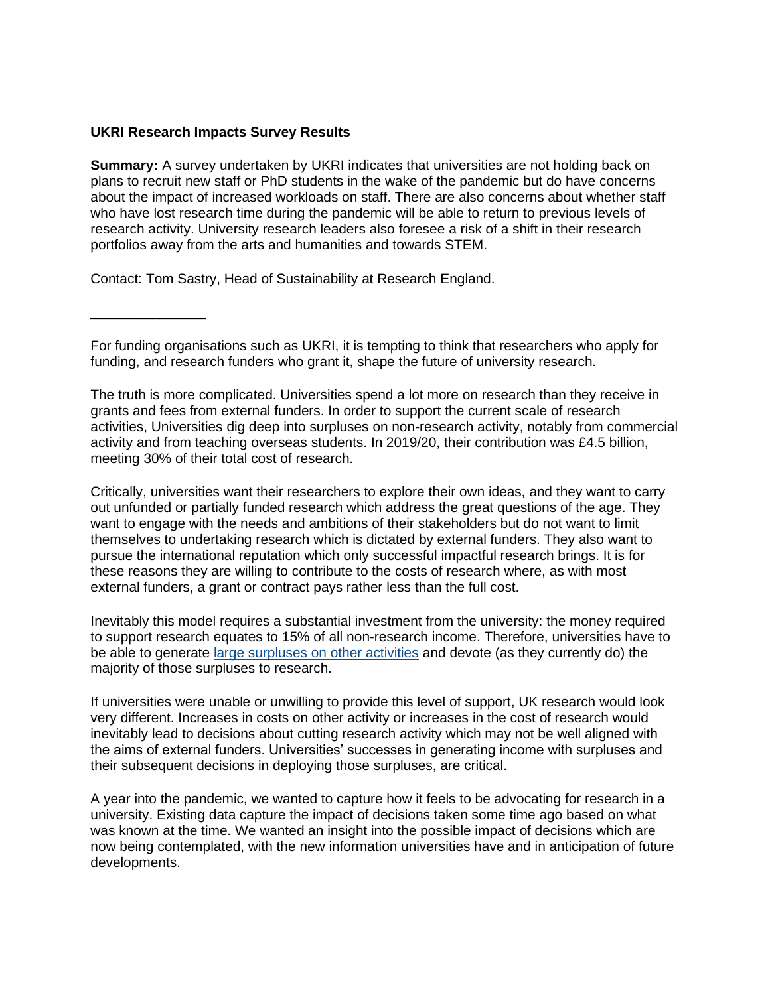## **UKRI Research Impacts Survey Results**

**Summary:** A survey undertaken by UKRI indicates that universities are not holding back on plans to recruit new staff or PhD students in the wake of the pandemic but do have concerns about the impact of increased workloads on staff. There are also concerns about whether staff who have lost research time during the pandemic will be able to return to previous levels of research activity. University research leaders also foresee a risk of a shift in their research portfolios away from the arts and humanities and towards STEM.

Contact: Tom Sastry, Head of Sustainability at Research England.

\_\_\_\_\_\_\_\_\_\_\_\_\_\_\_

For funding organisations such as UKRI, it is tempting to think that researchers who apply for funding, and research funders who grant it, shape the future of university research.

The truth is more complicated. Universities spend a lot more on research than they receive in grants and fees from external funders. In order to support the current scale of research activities, Universities dig deep into surpluses on non-research activity, notably from commercial activity and from teaching overseas students. In 2019/20, their contribution was £4.5 billion, meeting 30% of their total cost of research.

Critically, universities want their researchers to explore their own ideas, and they want to carry out unfunded or partially funded research which address the great questions of the age. They want to engage with the needs and ambitions of their stakeholders but do not want to limit themselves to undertaking research which is dictated by external funders. They also want to pursue the international reputation which only successful impactful research brings. It is for these reasons they are willing to contribute to the costs of research where, as with most external funders, a grant or contract pays rather less than the full cost.

Inevitably this model requires a substantial investment from the university: the money required to support research equates to 15% of all non-research income. Therefore, universities have to be able to generate [large surpluses on other activities](https://www.hepi.ac.uk/wp-content/uploads/2020/03/From-T-to-R-revisited.pdf) and devote (as they currently do) the majority of those surpluses to research.

If universities were unable or unwilling to provide this level of support, UK research would look very different. Increases in costs on other activity or increases in the cost of research would inevitably lead to decisions about cutting research activity which may not be well aligned with the aims of external funders. Universities' successes in generating income with surpluses and their subsequent decisions in deploying those surpluses, are critical.

A year into the pandemic, we wanted to capture how it feels to be advocating for research in a university. Existing data capture the impact of decisions taken some time ago based on what was known at the time. We wanted an insight into the possible impact of decisions which are now being contemplated, with the new information universities have and in anticipation of future developments.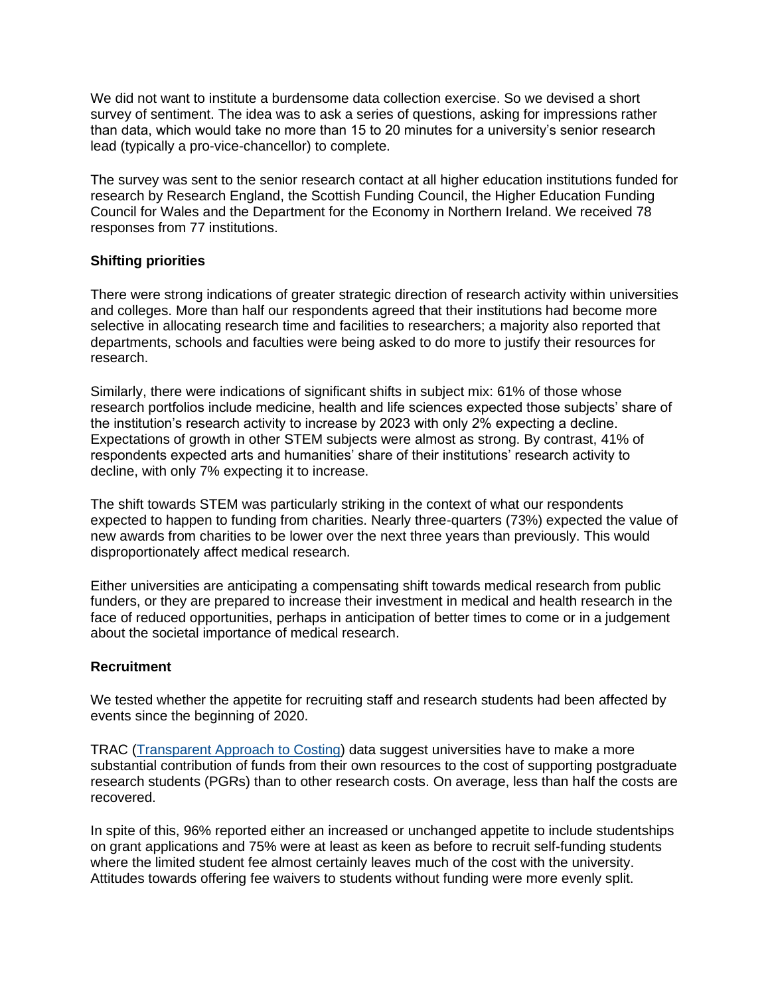We did not want to institute a burdensome data collection exercise. So we devised a short survey of sentiment. The idea was to ask a series of questions, asking for impressions rather than data, which would take no more than 15 to 20 minutes for a university's senior research lead (typically a pro-vice-chancellor) to complete.

The survey was sent to the senior research contact at all higher education institutions funded for research by Research England, the Scottish Funding Council, the Higher Education Funding Council for Wales and the Department for the Economy in Northern Ireland. We received 78 responses from 77 institutions.

## **Shifting priorities**

There were strong indications of greater strategic direction of research activity within universities and colleges. More than half our respondents agreed that their institutions had become more selective in allocating research time and facilities to researchers; a majority also reported that departments, schools and faculties were being asked to do more to justify their resources for research.

Similarly, there were indications of significant shifts in subject mix: 61% of those whose research portfolios include medicine, health and life sciences expected those subjects' share of the institution's research activity to increase by 2023 with only 2% expecting a decline. Expectations of growth in other STEM subjects were almost as strong. By contrast, 41% of respondents expected arts and humanities' share of their institutions' research activity to decline, with only 7% expecting it to increase.

The shift towards STEM was particularly striking in the context of what our respondents expected to happen to funding from charities. Nearly three-quarters (73%) expected the value of new awards from charities to be lower over the next three years than previously. This would disproportionately affect medical research.

Either universities are anticipating a compensating shift towards medical research from public funders, or they are prepared to increase their investment in medical and health research in the face of reduced opportunities, perhaps in anticipation of better times to come or in a judgement about the societal importance of medical research.

### **Recruitment**

We tested whether the appetite for recruiting staff and research students had been affected by events since the beginning of 2020.

TRAC [\(Transparent Approach to Costing\)](https://www.trac.ac.uk/about/) data suggest universities have to make a more substantial contribution of funds from their own resources to the cost of supporting postgraduate research students (PGRs) than to other research costs. On average, less than half the costs are recovered.

In spite of this, 96% reported either an increased or unchanged appetite to include studentships on grant applications and 75% were at least as keen as before to recruit self-funding students where the limited student fee almost certainly leaves much of the cost with the university. Attitudes towards offering fee waivers to students without funding were more evenly split.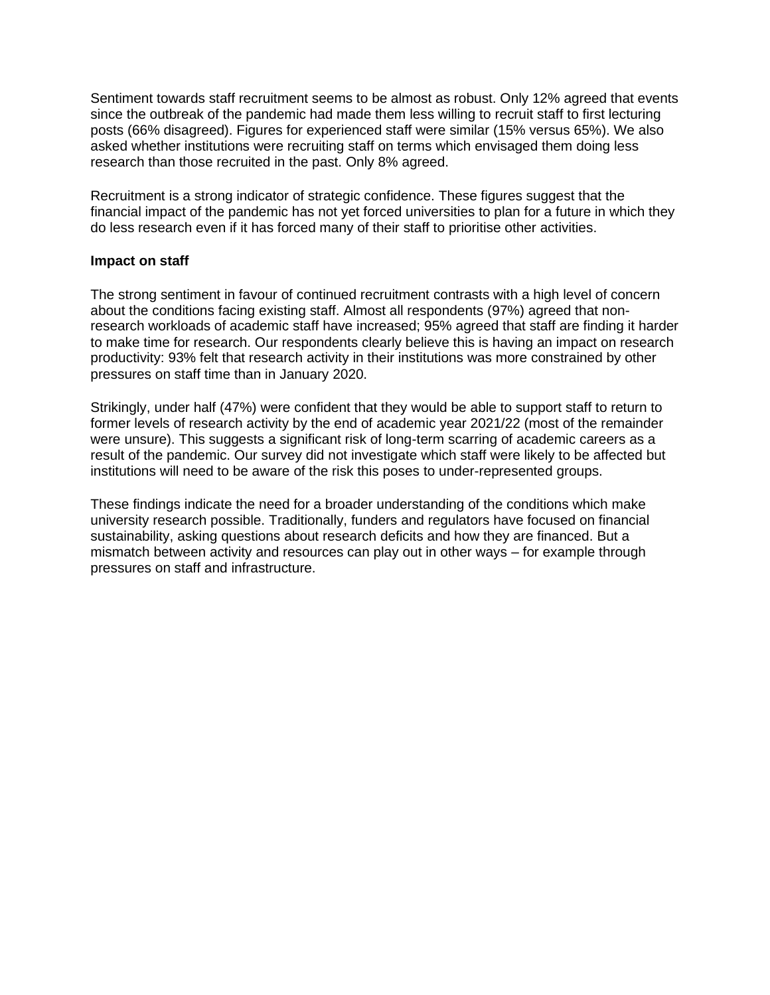Sentiment towards staff recruitment seems to be almost as robust. Only 12% agreed that events since the outbreak of the pandemic had made them less willing to recruit staff to first lecturing posts (66% disagreed). Figures for experienced staff were similar (15% versus 65%). We also asked whether institutions were recruiting staff on terms which envisaged them doing less research than those recruited in the past. Only 8% agreed.

Recruitment is a strong indicator of strategic confidence. These figures suggest that the financial impact of the pandemic has not yet forced universities to plan for a future in which they do less research even if it has forced many of their staff to prioritise other activities.

#### **Impact on staff**

The strong sentiment in favour of continued recruitment contrasts with a high level of concern about the conditions facing existing staff. Almost all respondents (97%) agreed that nonresearch workloads of academic staff have increased; 95% agreed that staff are finding it harder to make time for research. Our respondents clearly believe this is having an impact on research productivity: 93% felt that research activity in their institutions was more constrained by other pressures on staff time than in January 2020.

Strikingly, under half (47%) were confident that they would be able to support staff to return to former levels of research activity by the end of academic year 2021/22 (most of the remainder were unsure). This suggests a significant risk of long-term scarring of academic careers as a result of the pandemic. Our survey did not investigate which staff were likely to be affected but institutions will need to be aware of the risk this poses to under-represented groups.

These findings indicate the need for a broader understanding of the conditions which make university research possible. Traditionally, funders and regulators have focused on financial sustainability, asking questions about research deficits and how they are financed. But a mismatch between activity and resources can play out in other ways – for example through pressures on staff and infrastructure.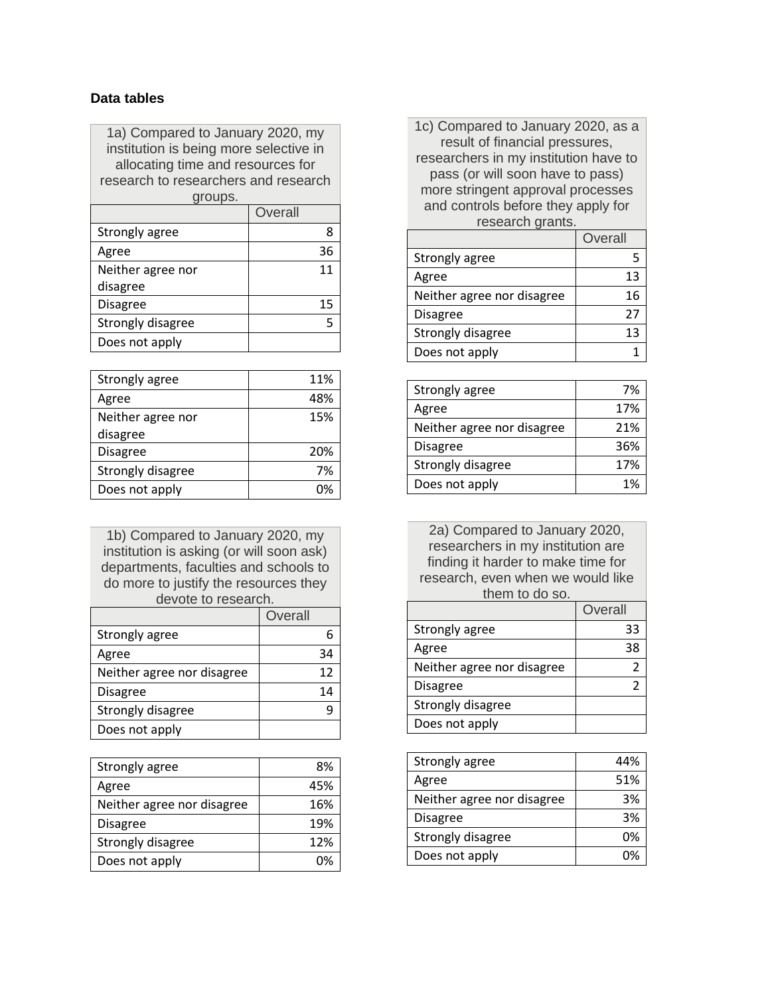# **Data tables**

1a) Compared to January 2020, my institution is being more selective in allocating time and resources for research to researchers and research groups.

|                   | Overall |
|-------------------|---------|
| Strongly agree    | 8       |
| Agree             | 36      |
| Neither agree nor | 11      |
| disagree          |         |
| <b>Disagree</b>   | 15      |
| Strongly disagree |         |
| Does not apply    |         |

| Strongly agree    | 11% |
|-------------------|-----|
| Agree             |     |
| Neither agree nor | 15% |
| disagree          |     |
| <b>Disagree</b>   | 20% |
| Strongly disagree | 7%  |
| Does not apply    |     |

1b) Compared to January 2020, my institution is asking (or will soon ask) departments, faculties and schools to do more to justify the resources they devote to research.

|                            | Overall |
|----------------------------|---------|
| Strongly agree             |         |
| Agree                      | 34      |
| Neither agree nor disagree | 12      |
| <b>Disagree</b>            | 14      |
| Strongly disagree          |         |
| Does not apply             |         |

| Strongly agree             | 8%  |
|----------------------------|-----|
| Agree                      | 45% |
| Neither agree nor disagree | 16% |
| Disagree                   | 19% |
| Strongly disagree          | 12% |
| Does not apply             |     |

1c) Compared to January 2020, as a result of financial pressures, researchers in my institution have to pass (or will soon have to pass) more stringent approval processes and controls before they apply for research grants.

|                            | Overall |
|----------------------------|---------|
| Strongly agree             |         |
| Agree                      | 13      |
| Neither agree nor disagree | 16      |
| <b>Disagree</b>            | 27      |
| Strongly disagree          | 13      |
| Does not apply             |         |

| Strongly agree             | 7%  |
|----------------------------|-----|
| Agree                      | 17% |
| Neither agree nor disagree | 21% |
| <b>Disagree</b>            | 36% |
| Strongly disagree          | 17% |
| Does not apply             | 1%  |

2a) Compared to January 2020, researchers in my institution are finding it harder to make time for research, even when we would like them to do so.

|                            | Overall |
|----------------------------|---------|
| Strongly agree             | 33      |
| Agree                      | 38      |
| Neither agree nor disagree |         |
| <b>Disagree</b>            |         |
| Strongly disagree          |         |
| Does not apply             |         |

| Strongly agree             | 44% |
|----------------------------|-----|
| Agree                      | 51% |
| Neither agree nor disagree | 3%  |
| Disagree                   | 3%  |
| Strongly disagree          | 0%  |
| Does not apply             | በ%  |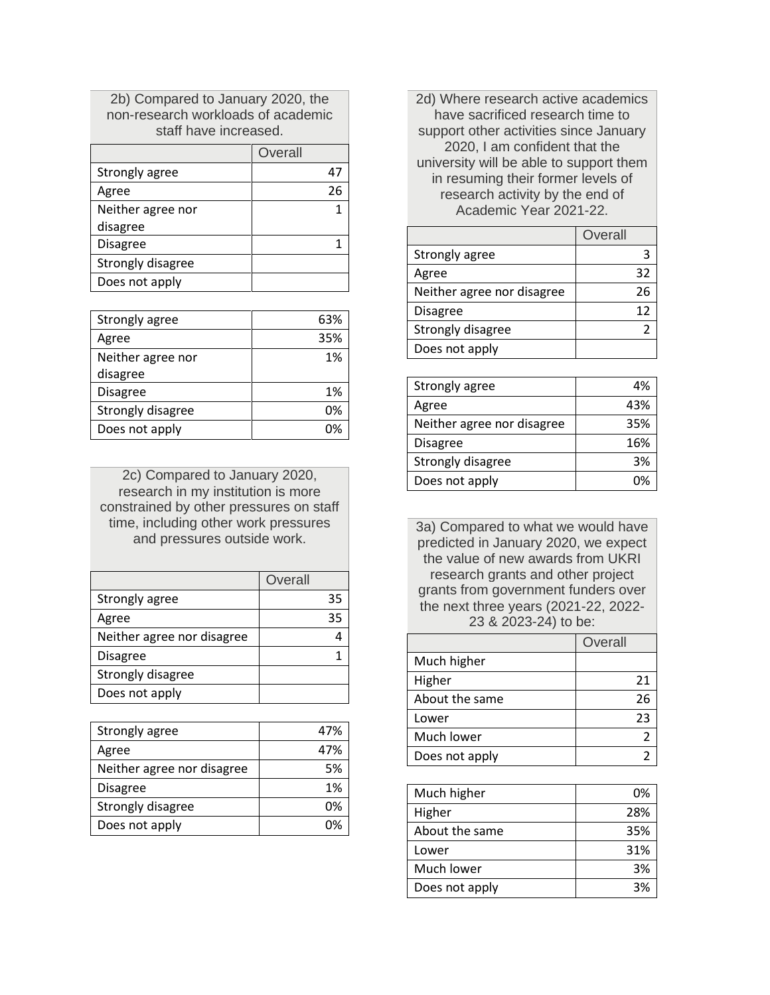2b) Compared to January 2020, the non-research workloads of academic staff have increased.

|                   | Overall |
|-------------------|---------|
| Strongly agree    | 47      |
| Agree             | 26      |
| Neither agree nor |         |
| disagree          |         |
| <b>Disagree</b>   |         |
| Strongly disagree |         |
| Does not apply    |         |

| Strongly agree    | 63% |
|-------------------|-----|
| Agree             | 35% |
| Neither agree nor | 1%  |
| disagree          |     |
| <b>Disagree</b>   | 1%  |
| Strongly disagree | በ%  |
| Does not apply    | no  |

2c) Compared to January 2020, research in my institution is more constrained by other pressures on staff time, including other work pressures and pressures outside work.

|                            | Overall |
|----------------------------|---------|
| Strongly agree             | 35      |
| Agree                      | 35      |
| Neither agree nor disagree |         |
| <b>Disagree</b>            |         |
| Strongly disagree          |         |
| Does not apply             |         |

| Strongly agree             | 47% |
|----------------------------|-----|
| Agree                      | 47% |
| Neither agree nor disagree | 5%  |
| Disagree                   | 1%  |
| Strongly disagree          | በ%  |
| Does not apply             |     |

2d) Where research active academics have sacrificed research time to support other activities since January 2020, I am confident that the university will be able to support them in resuming their former levels of research activity by the end of Academic Year 2021-22.

|                            | Overall |
|----------------------------|---------|
| Strongly agree             |         |
| Agree                      | 32      |
| Neither agree nor disagree | 26      |
| <b>Disagree</b>            | 12      |
| Strongly disagree          |         |
| Does not apply             |         |

| Strongly agree             | 4%  |
|----------------------------|-----|
| Agree                      | 43% |
| Neither agree nor disagree | 35% |
| Disagree                   | 16% |
| Strongly disagree          | 3%  |
| Does not apply             | ጠ%  |
|                            |     |

3a) Compared to what we would have predicted in January 2020, we expect the value of new awards from UKRI research grants and other project grants from government funders over the next three years (2021-22, 2022- 23 & 2023-24) to be:

|                | Overall |
|----------------|---------|
| Much higher    |         |
| Higher         | 21      |
| About the same | 26      |
| Lower          | 23      |
| Much lower     |         |
| Does not apply |         |

| Much higher    | በ%  |
|----------------|-----|
| Higher         | 28% |
| About the same | 35% |
| Lower          | 31% |
| Much lower     | 3%  |
| Does not apply | 2%  |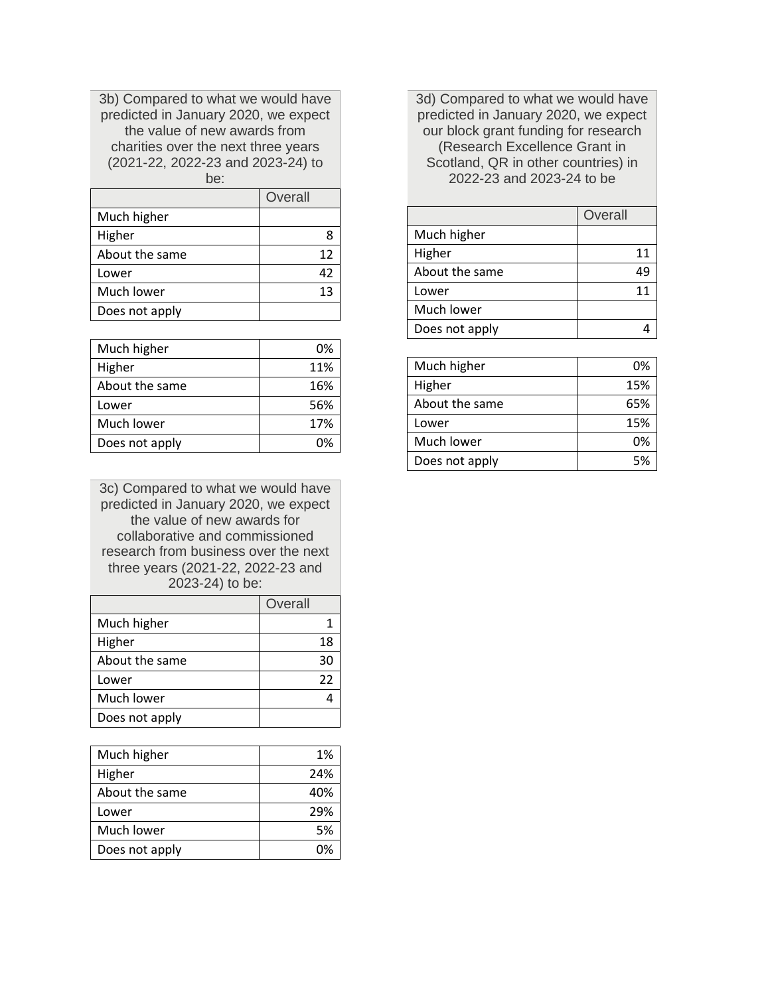3b) Compared to what we would have predicted in January 2020, we expect the value of new awards from charities over the next three years (2021-22, 2022-23 and 2023-24) to be:

|                | Overall |
|----------------|---------|
| Much higher    |         |
| Higher         |         |
| About the same | 12      |
| Lower          | 42      |
| Much lower     | 13      |
| Does not apply |         |

| Much higher    | 0%  |
|----------------|-----|
| Higher         | 11% |
| About the same | 16% |
| Lower          | 56% |
| Much lower     | 17% |
| Does not apply | በ%  |

3c) Compared to what we would have predicted in January 2020, we expect the value of new awards for collaborative and commissioned research from business over the next three years (2021-22, 2022-23 and 2023-24) to be:

|                | Overall |
|----------------|---------|
| Much higher    |         |
| Higher         | 18      |
| About the same | 30      |
| Lower          | 22      |
| Much lower     |         |
| Does not apply |         |

| Much higher    | 1%  |
|----------------|-----|
| Higher         | 24% |
| About the same | 40% |
| Lower          | 29% |
| Much lower     | 5%  |
| Does not apply | ∩‰  |

3d) Compared to what we would have predicted in January 2020, we expect our block grant funding for research (Research Excellence Grant in Scotland, QR in other countries) in 2022-23 and 2023-24 to be

|                | Overall |
|----------------|---------|
| Much higher    |         |
| Higher         | 11      |
| About the same | 49      |
| Lower          | 11      |
| Much lower     |         |
| Does not apply |         |

| Much higher    | በ%  |
|----------------|-----|
| Higher         | 15% |
| About the same | 65% |
| Lower          | 15% |
| Much lower     | በ%  |
| Does not apply | 5%  |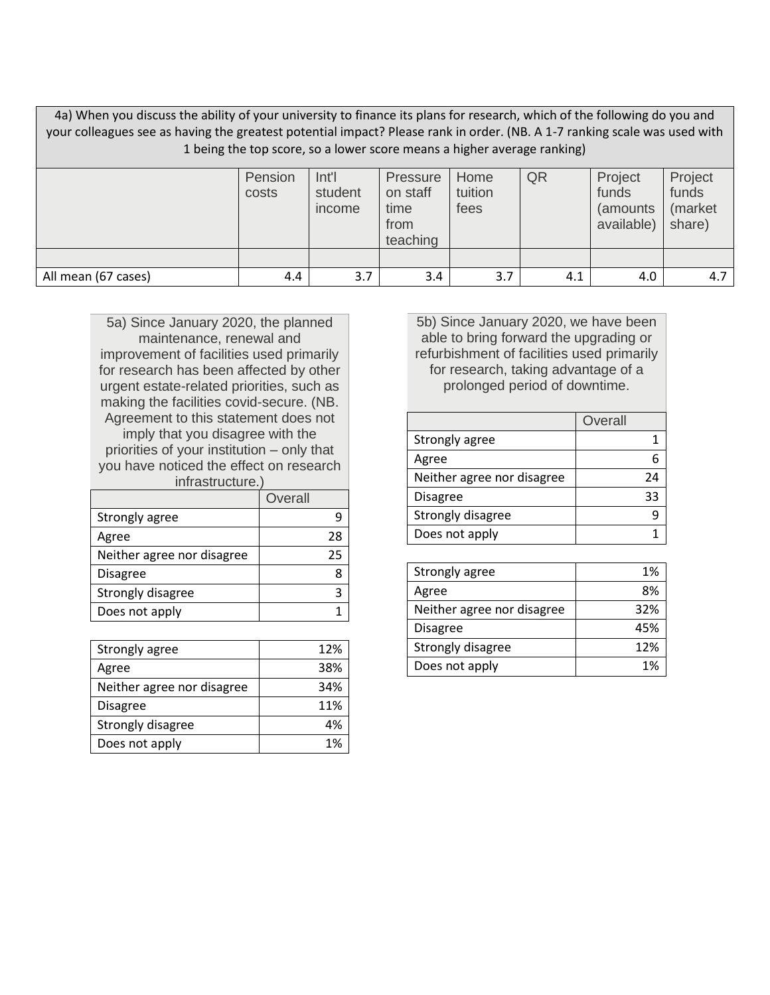4a) When you discuss the ability of your university to finance its plans for research, which of the following do you and your colleagues see as having the greatest potential impact? Please rank in order. (NB. A 1-7 ranking scale was used with 1 being the top score, so a lower score means a higher average ranking)

|                     | Pension<br>costs | Int'l<br>student<br>income | <b>Pressure</b><br>on staff<br>time<br>from<br>teaching | Home<br>tuition<br>fees | QR  | Project<br>funds<br>(amounts)<br>available) | Project<br>funds<br>(market<br>share) |
|---------------------|------------------|----------------------------|---------------------------------------------------------|-------------------------|-----|---------------------------------------------|---------------------------------------|
|                     |                  |                            |                                                         |                         |     |                                             |                                       |
| All mean (67 cases) | 4.4              | 3.7                        | 3.4                                                     | 3.7                     | 4.1 | 4.0                                         | 4.7                                   |

5a) Since January 2020, the planned maintenance, renewal and improvement of facilities used primarily for research has been affected by other urgent estate-related priorities, such as making the facilities covid-secure. (NB. Agreement to this statement does not imply that you disagree with the priorities of your institution – only that you have noticed the effect on research

| infrastructure.)           |         |  |  |
|----------------------------|---------|--|--|
|                            | Overall |  |  |
| Strongly agree             |         |  |  |
| Agree                      | 28      |  |  |
| Neither agree nor disagree | 25      |  |  |
| <b>Disagree</b>            |         |  |  |
| Strongly disagree          |         |  |  |
| Does not apply             |         |  |  |

| Strongly agree             | 12% |
|----------------------------|-----|
| Agree                      | 38% |
| Neither agree nor disagree | 34% |
| Disagree                   | 11% |
| Strongly disagree          | 4%  |
| Does not apply             | 1%  |

5b) Since January 2020, we have been able to bring forward the upgrading or refurbishment of facilities used primarily for research, taking advantage of a prolonged period of downtime.

|                            | Overall |
|----------------------------|---------|
| Strongly agree             |         |
| Agree                      |         |
| Neither agree nor disagree | 24      |
| <b>Disagree</b>            | 33      |
| Strongly disagree          |         |
| Does not apply             |         |

| Strongly agree             | 1%  |
|----------------------------|-----|
| Agree                      | 8%  |
| Neither agree nor disagree | 32% |
| <b>Disagree</b>            | 45% |
| Strongly disagree          | 12% |
| Does not apply             | 1%  |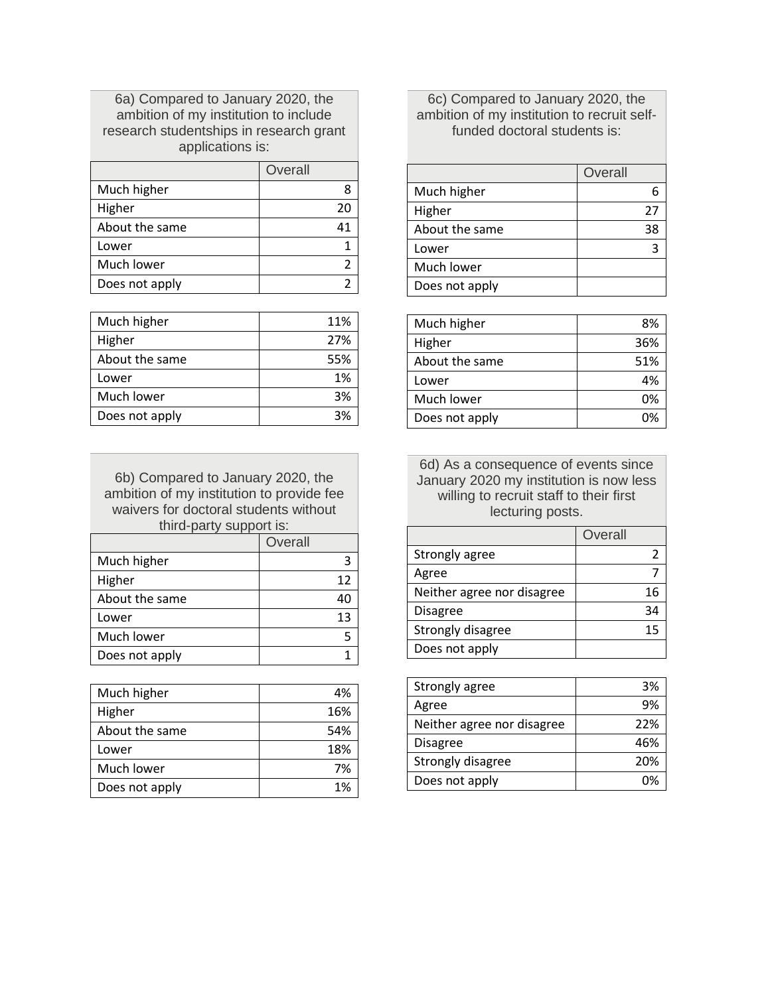6a) Compared to January 2020, the ambition of my institution to include research studentships in research grant applications is:

|                | Overall |
|----------------|---------|
| Much higher    |         |
| Higher         | 20      |
| About the same | 41      |
| Lower          |         |
| Much lower     |         |
| Does not apply |         |

| Much higher    | 11% |
|----------------|-----|
| Higher         | 27% |
| About the same | 55% |
| Lower          | 1%  |
| Much lower     | 3%  |
| Does not apply | 3%  |

6b) Compared to January 2020, the ambition of my institution to provide fee waivers for doctoral students without third-party support is:

|                | Overall |
|----------------|---------|
| Much higher    |         |
| Higher         | 12      |
| About the same | 40      |
| Lower          | 13      |
| Much lower     |         |
| Does not apply |         |

| Much higher    | 4%  |
|----------------|-----|
| Higher         | 16% |
| About the same | 54% |
| Lower          | 18% |
| Much lower     | 7%  |
| Does not apply | 1%  |

# 6c) Compared to January 2020, the ambition of my institution to recruit selffunded doctoral students is:

|                | Overall |
|----------------|---------|
| Much higher    |         |
| Higher         | 27      |
| About the same | 38      |
| Lower          |         |
| Much lower     |         |
| Does not apply |         |

| Much higher    | 8%  |
|----------------|-----|
| Higher         | 36% |
| About the same | 51% |
| Lower          | 4%  |
| Much lower     | በ%  |
| Does not apply |     |

6d) As a consequence of events since January 2020 my institution is now less willing to recruit staff to their first lecturing posts.

|                            | Overall |
|----------------------------|---------|
| Strongly agree             |         |
| Agree                      |         |
| Neither agree nor disagree | 16      |
| <b>Disagree</b>            | ว⊿      |
| Strongly disagree          | 15      |
| Does not apply             |         |

| Strongly agree             | 3%  |
|----------------------------|-----|
| Agree                      | 9%  |
| Neither agree nor disagree | 22% |
| <b>Disagree</b>            | 46% |
| Strongly disagree          | 20% |
| Does not apply             |     |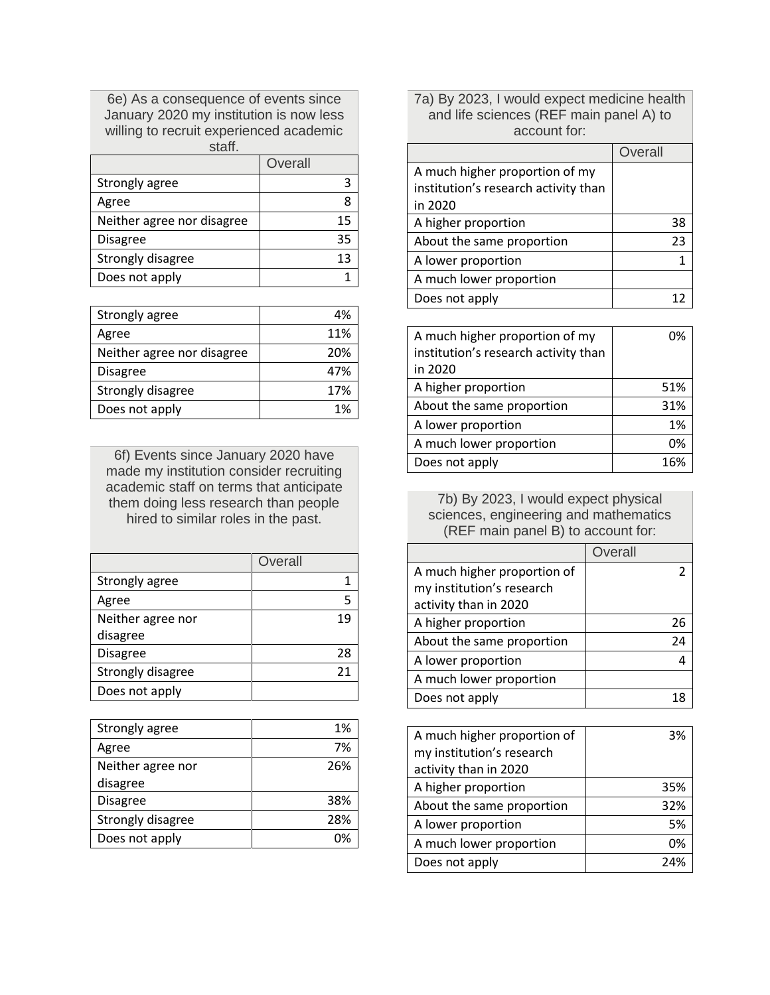6e) As a consequence of events since January 2020 my institution is now less willing to recruit experienced academic staff.

|                            | Overall |
|----------------------------|---------|
| Strongly agree             |         |
| Agree                      |         |
| Neither agree nor disagree | 15      |
| <b>Disagree</b>            | 35      |
| Strongly disagree          | 13      |
| Does not apply             |         |

| Strongly agree             | 4%  |
|----------------------------|-----|
| Agree                      | 11% |
| Neither agree nor disagree | 20% |
| <b>Disagree</b>            | 47% |
| Strongly disagree          | 17% |
| Does not apply             | 1%  |

6f) Events since January 2020 have made my institution consider recruiting academic staff on terms that anticipate them doing less research than people hired to similar roles in the past.

|                   | Overall |
|-------------------|---------|
| Strongly agree    |         |
| Agree             | ς       |
| Neither agree nor | 19      |
| disagree          |         |
| <b>Disagree</b>   | 28      |
| Strongly disagree | 21      |
| Does not apply    |         |

| Strongly agree    | 1%  |
|-------------------|-----|
| Agree             | 7%  |
| Neither agree nor | 26% |
| disagree          |     |
| <b>Disagree</b>   | 38% |
| Strongly disagree | 28% |
| Does not apply    |     |

7a) By 2023, I would expect medicine health and life sciences (REF main panel A) to account for:

|                                      | Overall |    |
|--------------------------------------|---------|----|
| A much higher proportion of my       |         |    |
| institution's research activity than |         |    |
| in 2020                              |         |    |
| A higher proportion                  |         | 38 |
| About the same proportion            |         | 23 |
| A lower proportion                   |         |    |
| A much lower proportion              |         |    |
| Does not apply                       |         |    |

| A much higher proportion of my       | በ%  |
|--------------------------------------|-----|
| institution's research activity than |     |
| in 2020                              |     |
| A higher proportion                  | 51% |
| About the same proportion            | 31% |
| A lower proportion                   | 1%  |
| A much lower proportion              | በ%  |
| Does not apply                       | 16% |

7b) By 2023, I would expect physical sciences, engineering and mathematics (REF main panel B) to account for:

|                             | Overall |
|-----------------------------|---------|
| A much higher proportion of |         |
| my institution's research   |         |
| activity than in 2020       |         |
| A higher proportion         | 26      |
| About the same proportion   | 24      |
| A lower proportion          |         |
| A much lower proportion     |         |
| Does not apply              |         |

| A much higher proportion of | 3%  |
|-----------------------------|-----|
| my institution's research   |     |
| activity than in 2020       |     |
| A higher proportion         | 35% |
| About the same proportion   | 32% |
| A lower proportion          | 5%  |
| A much lower proportion     | 0%  |
| Does not apply              | 24% |